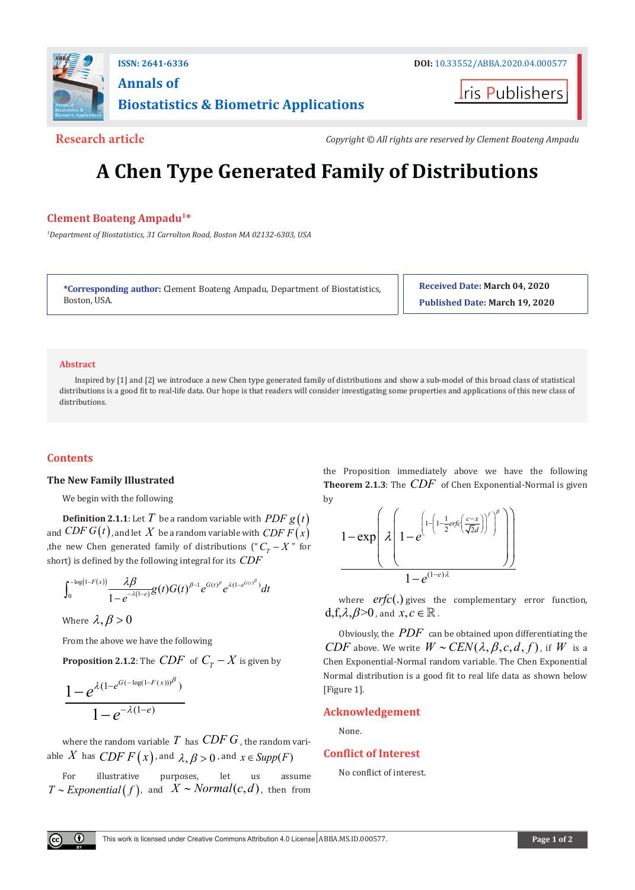

ris Publishers

**Research article** The *Copyright* © All rights are reserved by Clement Boateng Ampadu

# **A Chen Type Generated Family of Distributions**

## **Clement Boateng Ampadu1\***

*1 Department of Biostatistics, 31 Carrolton Road, Boston MA 02132-6303, USA*

**\*Corresponding author:** Clement Boateng Ampadu, Department of Biostatistics, Boston, USA.

**Received Date: March 04, 2020 Published Date: March 19, 2020**

#### **Abstract**

Inspired by [1] and [2] we introduce a new Chen type generated family of distributions and show a sub-model of this broad class of statistical distributions is a good fit to real-life data. Our hope is that readers will consider investigating some properties and applications of this new class of distributions.

## **Contents**

#### **The New Family Illustrated**

We begin with the following

**Definition 2.1.1**: Let  $T$  be a random variable with  $PDF g(t)$ and *CDF G*(*t*), and let *X* be a random variable with *CDF F*( $\hat{x}$ ) ,the new Chen generated family of distributions (" $C_T - X$ " for short) is defined by the following integral for its *CDF*

$$
\int_0^{-\log(1-F(x))}\frac{\lambda\beta}{1-e^{-\lambda(1-e)}}g(t)G(t)^{\beta-1}e^{G(t)^{\beta}}e^{\lambda(1-e^{G(t)^{\beta}})}dt
$$

Where  $\lambda, \beta > 0$ 

From the above we have the following

**Proposition 2.1.2**: The *CDF* of  $C_T - X$  is given by

$$
\frac{1 - e^{\lambda(1 - e^{G(-\log(1 - F(x)))^{\beta})}}}{1 - e^{-\lambda(1 - e)}}
$$

where the random variable  $T$  has  $CDFG$ , the random variable *X* has *CDF F*  $(x)$ , and  $\lambda, \beta > 0$ , and  $x \in \text{Supp}(F)$ 

For illustrative purposes, let us assume *T* ∼ *Exponential*  $(f)$ , and  $X \sim Normal(c, d)$ , then from

the Proposition immediately above we have the following **Theorem 2.1.3**: The *CDF* of Chen Exponential-Normal is given by

$$
\frac{1-\exp\left(\lambda\left(1-e^{\left(1-\left(1-\frac{1}{2}erfc\left(\frac{c-x}{\sqrt{2}d}\right)\right)'\right)^{\beta}}\right)\right)}{1-e^{(1-e)\lambda}}
$$

where *erfc*(.) gives the complementary error function,  $d, f, \lambda, \beta \geq 0$ , and  $x, c \in \mathbb{R}$ .

Obviously, the *PDF* can be obtained upon differentiating the *CDF* above. We write  $W \sim CEN(\lambda, \beta, c, d, f)$ , if *W* is a Chen Exponential-Normal random variable. The Chen Exponential Normal distribution is a good fit to real life data as shown below [Figure 1].

## **Acknowledgement**

None.

### **Conflict of Interest**

No conflict of interest.